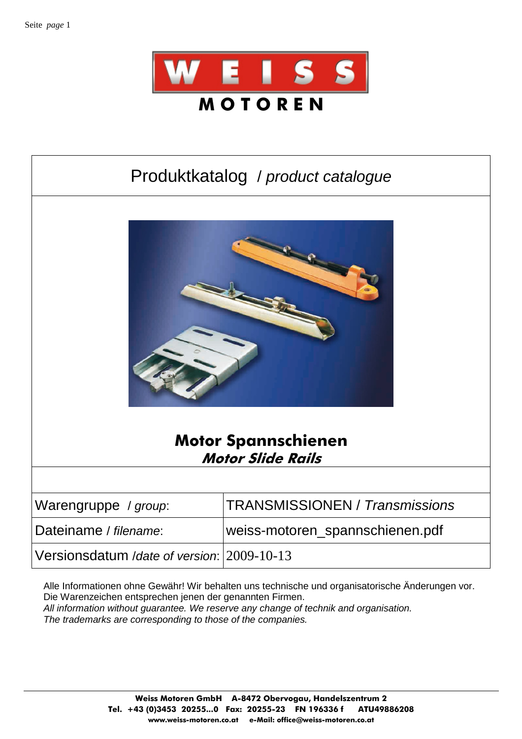

# Produktkatalog / product catalogue



#### **Motor Spannschienen Motor Slide Rails**

| Warengruppe / group:                       | <b>TRANSMISSIONEN / Transmissions</b> |
|--------------------------------------------|---------------------------------------|
| Dateiname / filename:                      | weiss-motoren_spannschienen.pdf       |
| Versionsdatum /date of version: 2009-10-13 |                                       |

Alle Informationen ohne Gewähr! Wir behalten uns technische und organisatorische Änderungen vor. Die Warenzeichen entsprechen jenen der genannten Firmen. All information without guarantee. We reserve any change of technik and organisation. The trademarks are corresponding to those of the companies.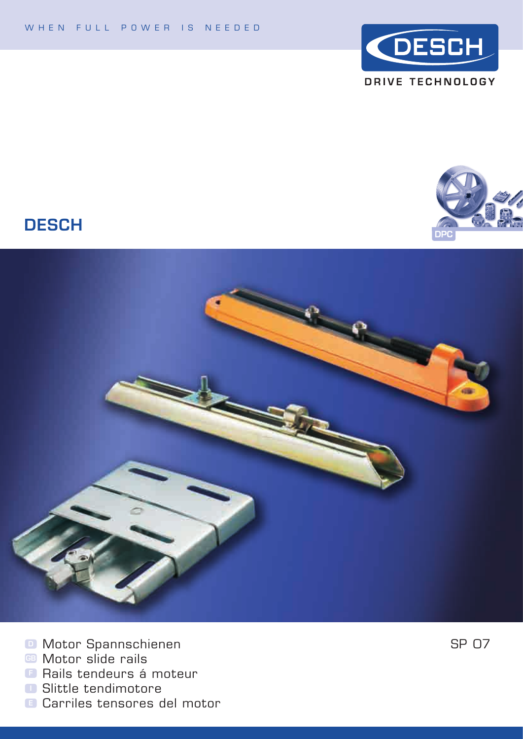



#### **DESCH**



- **D** Motor Spannschienen<br>**B** Motor slide rails
- 
- **B** Rails tendeurs á moteur
- **B** Slittle tendimotore
- **B** Carriles tensores del motor

SP 07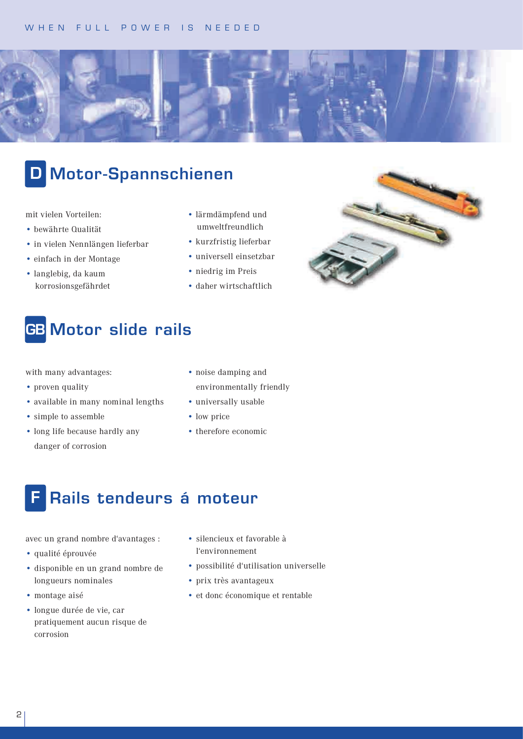

# D Motor-Spannschienen

mit vielen Vorteilen:

- bewährte Qualität
- in vielen Nennlängen lieferbar
- einfach in der Montage
- langlebig, da kaum korrosionsgefährdet
- lärmdämpfend und umweltfreundlich
- kurzfristig lieferbar
- universell einsetzbar
- niedrig im Preis
- daher wirtschaftlich

### **GB** Motor slide rails

with many advantages:

- proven quality
- available in many nominal lengths
- simple to assemble
- long life because hardly any danger of corrosion
- noise damping and environmentally friendly
- universally usable
- low price
- therefore economic

#### Rails tendeurs á moteur

avec un grand nombre d'avantages :

- qualité éprouvée
- disponible en un grand nombre de longueurs nominales
- montage aisé
- longue durée de vie, car pratiquement aucun risque de corrosion
- silencieux et favorable à l'environnement
- possibilité d'utilisation universelle
- prix très avantageux
- et donc économique et rentable

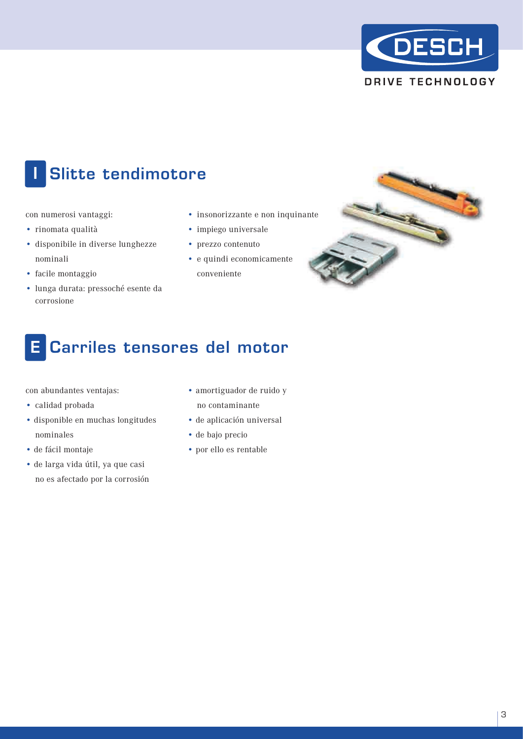

# Slitte tendimotore

con numerosi vantaggi:

- rinomata qualità
- disponibile in diverse lunghezze nominali
- facile montaggio
- lunga durata: pressoché esente da corrosione
- insonorizzante e non inquinante
- impiego universale
- prezzo contenuto
- e quindi economicamente conveniente



# E Carriles tensores del motor

con abundantes ventajas:

- calidad probada
- disponible en muchas longitudes nominales
- de fácil montaje
- de larga vida útil, ya que casi no es afectado por la corrosión
- amortiguador de ruido y no contaminante
- de aplicación universal
- de bajo precio
- por ello es rentable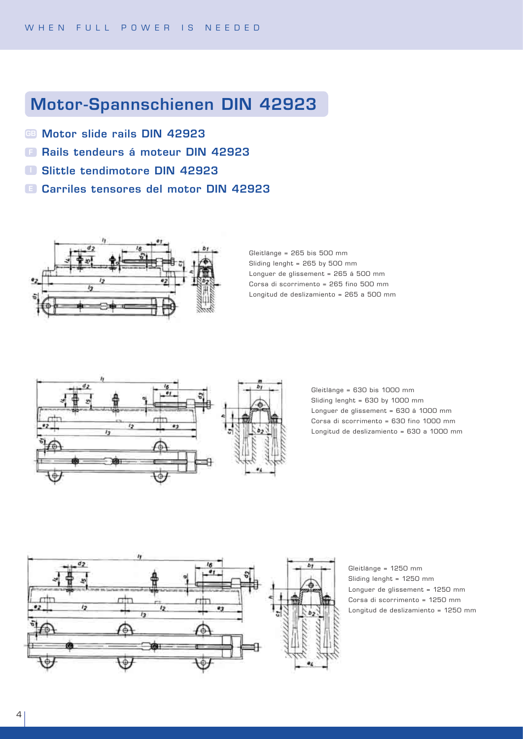### Motor-Spannschienen DIN 42923

- **6B Motor slide rails DIN 42923**
- **B Rails tendeurs á moteur DIN 42923**
- Slittle tendimotore DIN 42923 I
- Carriles tensores del motor DIN 42923 E



Gleitlänge = 265 bis 500 mm Sliding lenght = 265 by 500 mm Longuer de glissement = 265 á 500 mm Corsa di scorrimento = 265 fino 500 mm Longitud de deslizamiento = 265 a 500 mm



Gleitlänge = 630 bis 1000 mm Sliding lenght = 630 by 1000 mm Longuer de glissement = 630 á 1000 mm Corsa di scorrimento = 630 fino 1000 mm Longitud de deslizamiento = 630 a 1000 mm



Gleitlänge = 1250 mm Sliding lenght = 1250 mm Longuer de glissement = 1250 mm Corsa di scorrimento = 1250 mm Longitud de deslizamiento = 1250 mm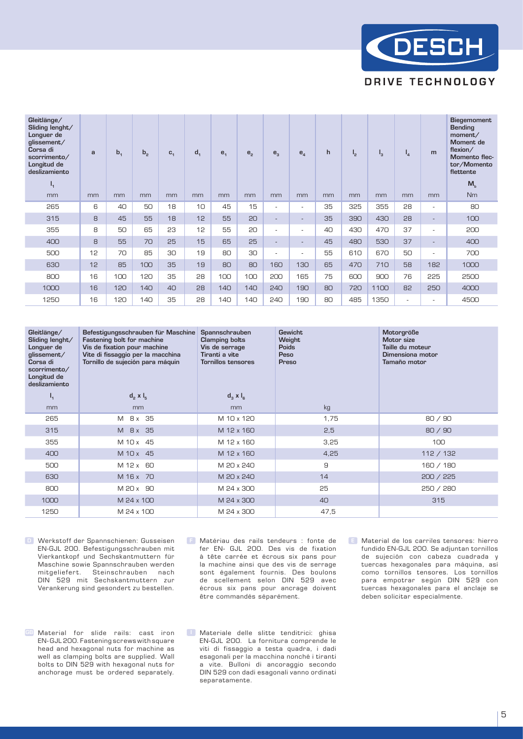

| Gleitlänge/<br>Sliding lenght/<br>Longuer de<br>glissement/<br>Corsa di<br>scorrimento/<br>Longitud de<br>deslizamiento | a  | $b_{1}$ | b <sub>2</sub> | $C_{1}$ | d <sub>1</sub> | e <sub>1</sub> | e <sub>2</sub> | $e_{3}$                  | $e_{\scriptscriptstyle A}$ | h  | $I_{2}$ | '3   | $I_{4}$ | m                        | <b>Biegemoment</b><br><b>Bending</b><br>moment/<br>Moment de<br>flexion/<br>Momento flec-<br>tor/Momento<br>flettente |  |
|-------------------------------------------------------------------------------------------------------------------------|----|---------|----------------|---------|----------------|----------------|----------------|--------------------------|----------------------------|----|---------|------|---------|--------------------------|-----------------------------------------------------------------------------------------------------------------------|--|
| $I_{1}$<br>mm                                                                                                           | mm | mm      | mm             | mm      | mm             | mm             | mm             | mm                       | mm                         | mm | mm      | mm   | mm      | mm                       | M <sub>b</sub><br><b>Nm</b>                                                                                           |  |
| 265                                                                                                                     | 6  | 40      | 50             | 18      | 10             | 45             | 15             | $\overline{\phantom{a}}$ | ٠                          | 35 | 325     | 355  | 28      | $\overline{a}$           | 80                                                                                                                    |  |
|                                                                                                                         |    |         |                |         |                |                |                |                          |                            |    |         |      |         |                          |                                                                                                                       |  |
| 315                                                                                                                     | 8  | 45      | 55             | 18      | 12             | 55             | 20             | $\overline{\phantom{a}}$ | $\overline{\phantom{a}}$   | 35 | 390     | 430  | 28      | $\overline{\phantom{a}}$ | 100                                                                                                                   |  |
| 355                                                                                                                     | 8  | 50      | 65             | 23      | 12             | 55             | 20             | ٠                        | ٠                          | 40 | 430     | 470  | 37      | $\overline{a}$           | 200                                                                                                                   |  |
| 400                                                                                                                     | 8  | 55      | 70             | 25      | 15             | 65             | 25             | $\overline{\phantom{a}}$ | $\overline{a}$             | 45 | 480     | 530  | 37      | $\overline{a}$           | 400                                                                                                                   |  |
| 500                                                                                                                     | 12 | 70      | 85             | 30      | 19             | 80             | 30             | $\overline{\phantom{a}}$ | $\overline{\phantom{a}}$   | 55 | 610     | 670  | 50      | $\overline{a}$           | 700                                                                                                                   |  |
| 630                                                                                                                     | 12 | 85      | 100            | 35      | 19             | 80             | 80             | 160                      | 130                        | 65 | 470     | 710  | 58      | 182                      | 1000                                                                                                                  |  |
| 800                                                                                                                     | 16 | 100     | 120            | 35      | 28             | 100            | 100            | 200                      | 165                        | 75 | 600     | 900  | 76      | 225                      | 2500                                                                                                                  |  |
| 1000                                                                                                                    | 16 | 120     | 140            | 40      | 28             | 140            | 140            | 240                      | 190                        | 80 | 720     | 1100 | 82      | 250                      | 4000                                                                                                                  |  |
| 1250                                                                                                                    | 16 | 120     | 140            | 35      | 28             | 140            | 140            | 240                      | 190                        | 80 | 485     | 1350 | $\sim$  | $\overline{\phantom{a}}$ | 4500                                                                                                                  |  |

| Gleitlänge/<br>Sliding lenght/<br>Longuer de<br>glissement/<br>Corsa di<br>scorrimento/<br>Longitud de<br>deslizamiento | Befestigungsschrauben für Maschine<br>Fastening bolt for machine<br>Vis de fixation pour machine<br>Vite di fissaggio per la macchina<br>Tornillo de sujeción para máquin | <b>Spannschrauben</b><br><b>Clamping bolts</b><br>Vis de serrage<br>Tiranti a vite<br><b>Tornillos tensores</b> | <b>Gewicht</b><br>Weight<br><b>Poids</b><br>Peso<br>Preso | Motorgröße<br>Motor size<br>Taille du moteur<br>Dimensiona motor<br>Tamaño motor |  |  |  |  |
|-------------------------------------------------------------------------------------------------------------------------|---------------------------------------------------------------------------------------------------------------------------------------------------------------------------|-----------------------------------------------------------------------------------------------------------------|-----------------------------------------------------------|----------------------------------------------------------------------------------|--|--|--|--|
| $\mathbf{I}_{1}$                                                                                                        | $d_{2}$ x $I_{5}$                                                                                                                                                         | $d_3 \times l_6$                                                                                                |                                                           |                                                                                  |  |  |  |  |
| mm                                                                                                                      | mm                                                                                                                                                                        | mm                                                                                                              | kg                                                        |                                                                                  |  |  |  |  |
| 265                                                                                                                     | 8x 35<br>M                                                                                                                                                                | M 10 x 120                                                                                                      | 1,75                                                      | 80/90                                                                            |  |  |  |  |
| 315                                                                                                                     | M 8x 35                                                                                                                                                                   | M 12 x 160                                                                                                      | 2,5                                                       | 80/90                                                                            |  |  |  |  |
| 355                                                                                                                     | M 10 x 45                                                                                                                                                                 | M 12 x 160                                                                                                      | 3,25                                                      | 100                                                                              |  |  |  |  |
| 400                                                                                                                     | M 10 x 45                                                                                                                                                                 | M 12 x 160                                                                                                      | 4,25                                                      | 112 / 132                                                                        |  |  |  |  |
| 500                                                                                                                     | M 12 x 60                                                                                                                                                                 | M 20 x 240                                                                                                      | 9                                                         | 160 / 180                                                                        |  |  |  |  |
| 630                                                                                                                     | M 16 x 70                                                                                                                                                                 | M 20 x 240                                                                                                      | 14                                                        | 200 / 225                                                                        |  |  |  |  |
| 800                                                                                                                     | M 20 x 90                                                                                                                                                                 | M 24 x 300                                                                                                      | 25                                                        | 250 / 280                                                                        |  |  |  |  |
| 1000                                                                                                                    | M 24 x 100                                                                                                                                                                | M 24 x 300                                                                                                      | 40                                                        | 315                                                                              |  |  |  |  |
| 1250                                                                                                                    | M 24 x 100                                                                                                                                                                | M 24 x 300                                                                                                      | 47,5                                                      |                                                                                  |  |  |  |  |

**D** Werkstoff der Spannschienen: Gusseisen EN-GJL 200. Befestigungsschrauben mit Vierkantkopf und Sechskantmuttern für Maschine sowie Spannschrauben werden mitgeliefert. Steinschrauben nach DIN 529 mit Sechskantmuttern zur Verankerung sind gesondert zu bestellen.

GB Material for slide rails: cast iron EN- GJL 200. Fastening screws with square head and hexagonal nuts for machine as well as clamping bolts are supplied. Wall bolts to DIN 529 with hexagonal nuts for anchorage must be ordered separately.

**E** Matériau des rails tendeurs : fonte de fer EN- GJL 200. Des vis de fixation à tête carrée et écrous six pans pour la machine ainsi que des vis de serrage sont également fournis. Des boulons de scellement selon DIN 529 avec écrous six pans pour ancrage doivent être commandés séparément.  $E$  Matériau des rails tendeurs : fonte de  $E$  Material de los carriles tensores: hierro

I Materiale delle slitte tenditrici: ghisa EN-GJL 200. La fornitura comprende le viti di fissaggio a testa quadra, i dadi esagonali per la macchina nonché i tiranti a vite. Bulloni di ancoraggio secondo DIN 529 con dadi esagonali vanno ordinati separatamente.

fundido EN-GJL 200. Se adjuntan tornillos de sujeción con cabeza cuadrada y tuercas hexagonales para máquina, así como tornillos tensores. Los tornillos para empotrar según DIN 529 con tuercas hexagonales para el anclaje se deben solicitar especialmente.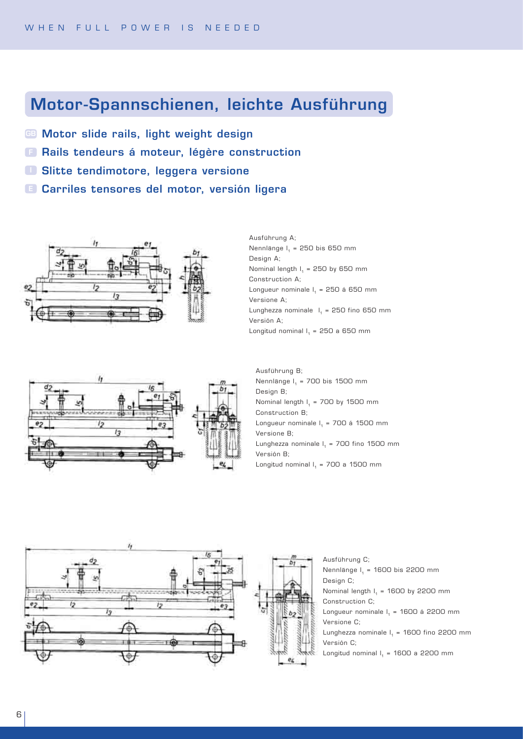#### Motor-Spannschienen, leichte Ausführung

- Motor slide rails, light weight design GB
- **B** Rails tendeurs á moteur, légère construction
- Slitte tendimotore, leggera versione I
- Carriles tensores del motor, versión ligera E





Ausführung A; Nennlänge  $I<sub>1</sub> = 250$  bis 650 mm Design A; Nominal length  $I_1$  = 250 by 650 mm Construction A; Longueur nominale  $I_1$  = 250 á 650 mm Versione A; Lunghezza nominale  $I<sub>1</sub> = 250$  fino 650 mm Versión A; Longitud nominal  $I_1 = 250$  a 650 mm

Aus führung B; Nennlänge  $I_1$  = 700 bis 1500 mm Design B; Nominal length  $I_1$  = 700 by 1500 mm Construction B; Longueur nominale  $I<sub>1</sub> = 700$  á 1500 mm Versione B; Lunghezza nominale  $I_1$  = 700 fino 1500 mm Versión B; Longitud nominal  $I_1$  = 700 a 1500 mm





Ausführung C; Nennlänge  $I_1$  = 1600 bis 2200 mm Design C; Nominal length  $I_1$  = 1600 by 2200 mm Construction C; Longueur nominale  $I<sub>a</sub> = 1600$  á 2200 mm Versione C; Lunghezza nominale  $I_1$  = 1600 fino 2200 mm Versión C;

Longitud nominal  $I<sub>1</sub>$  = 1600 a 2200 mm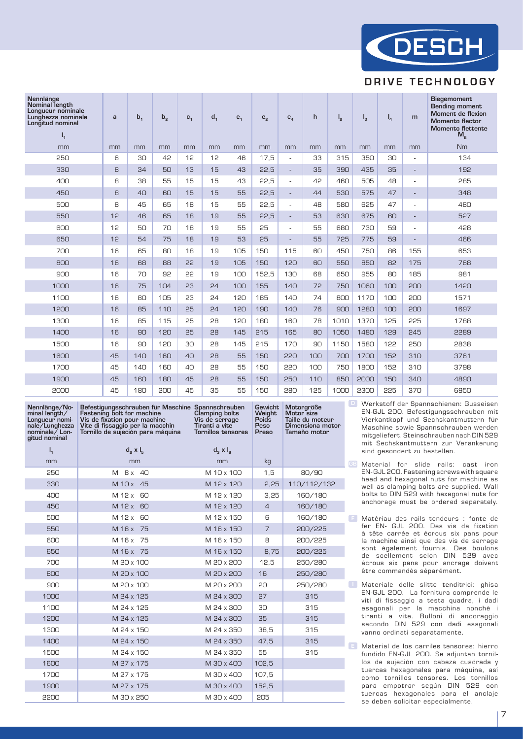

#### **DRIVE TECHNOLOGY**

| Nennlänge<br>Nominal length<br>Lonqueur nominale<br>Lunghezza nominale<br>Longitud nominal<br>$I_{1}$ | a  | b <sub>1</sub> | $b_{2}$ | $C_1$ | d <sub>1</sub> | e <sub>1</sub> | e <sub>2</sub> | $e_{\scriptscriptstyle\varDelta}$ | $\mathsf{h}$ | $I_{2}$ | $I_{3}$ | $I_{\mathcal{A}}$ | m                        | <b>Biegemoment</b><br><b>Bending moment</b><br>Moment de flexion<br><b>Momento flector</b><br><b>Momento flettente</b><br>$M_{\rm R}$ |  |  |
|-------------------------------------------------------------------------------------------------------|----|----------------|---------|-------|----------------|----------------|----------------|-----------------------------------|--------------|---------|---------|-------------------|--------------------------|---------------------------------------------------------------------------------------------------------------------------------------|--|--|
| mm                                                                                                    | mm | mm             | mm      | mm    | mm             | mm             | mm             | mm                                | mm           | mm      | mm      | mm                | mm                       | N <sub>m</sub>                                                                                                                        |  |  |
| 250                                                                                                   | 6  | 30             | 42      | 12    | 12             | 46             | 17.5           | $\sim$                            | 33           | 315     | 350     | 30                | ÷,                       | 134                                                                                                                                   |  |  |
| 330                                                                                                   | 8  | 34             | 50      | 13    | 15             | 43             | 22,5           | $\overline{\phantom{a}}$          | 35           | 390     | 435     | 35                | $\overline{\phantom{a}}$ | 192                                                                                                                                   |  |  |
| 400                                                                                                   | 8  | 38             | 55      | 15    | 15             | 43             | 22,5           | $\blacksquare$                    | 42           | 460     | 505     | 48                | $\sim$                   | 285                                                                                                                                   |  |  |
| 450                                                                                                   | 8  | 40             | 60      | 15    | 15             | 55             | 22,5           | $\overline{\phantom{a}}$          | 44           | 530     | 575     | 47                | $\overline{\phantom{a}}$ | 348                                                                                                                                   |  |  |
| 500                                                                                                   | 8  | 45             | 65      | 18    | 15             | 55             | 22,5           | $\blacksquare$                    | 48           | 580     | 625     | 47                | $\sim$                   | 480                                                                                                                                   |  |  |
| 550                                                                                                   | 12 | 46             | 65      | 18    | 19             | 55             | 22,5           | $\overline{\phantom{0}}$          | 53           | 630     | 675     | 60                |                          | 527                                                                                                                                   |  |  |
| 600                                                                                                   | 12 | 50             | 70      | 18    | 19             | 55             | 25             | ÷.                                | 55           | 680     | 730     | 59                | ÷,                       | 428                                                                                                                                   |  |  |
| 650                                                                                                   | 12 | 54             | 75      | 18    | 19             | 53             | 25             | $\overline{\phantom{a}}$          | 55           | 725     | 775     | 59                | $\overline{a}$           | 466                                                                                                                                   |  |  |
| 700                                                                                                   | 16 | 65             | 80      | 18    | 19             | 105            | 150            | 115                               | 60           | 450     | 750     | 86                | 155                      | 653                                                                                                                                   |  |  |
| 800                                                                                                   | 16 | 68             | 88      | 55    | 19             | 105            | 150            | 120                               | 60           | 550     | 850     | 82                | 175                      | 768                                                                                                                                   |  |  |
| 900                                                                                                   | 16 | 70             | 92      | 55    | 19             | 100            | 152,5          | 130                               | 68           | 650     | 955     | 80                | 185                      | 981                                                                                                                                   |  |  |
| 1000                                                                                                  | 16 | 75             | 104     | 23    | 24             | 100            | 155            | 140                               | 72           | 750     | 1060    | 100               | 200                      | 1420                                                                                                                                  |  |  |
| 1100                                                                                                  | 16 | 80             | 105     | 23    | 24             | 120            | 185            | 140                               | 74           | 800     | 1170    | 100               | 200                      | 1571                                                                                                                                  |  |  |
| 1200                                                                                                  | 16 | 85             | 110     | 25    | 24             | 120            | 190            | 140                               | 76           | 900     | 1280    | 100               | 200                      | 1697                                                                                                                                  |  |  |
| 1300                                                                                                  | 16 | 85             | 115     | 25    | 28             | 120            | 180            | 160                               | 78           | 1010    | 1370    | 125               | 225                      | 1788                                                                                                                                  |  |  |
| 1400                                                                                                  | 16 | 90             | 120     | 25    | 28             | 145            | 215            | 165                               | 80           | 1050    | 1480    | 129               | 245                      | 2289                                                                                                                                  |  |  |
| 1500                                                                                                  | 16 | 90             | 120     | 30    | 28             | 145            | 215            | 170                               | 90           | 1150    | 1580    | 122               | 250                      | 2838                                                                                                                                  |  |  |
| 1600                                                                                                  | 45 | 140            | 160     | 40    | 28             | 55             | 150            | 220                               | 100          | 700     | 1700    | 152               | 310                      | 3761                                                                                                                                  |  |  |
| 1700                                                                                                  | 45 | 140            | 160     | 40    | 28             | 55             | 150            | 220                               | 100          | 750     | 1800    | 152               | 310                      | 3798                                                                                                                                  |  |  |
| 1900                                                                                                  | 45 | 160            | 180     | 45    | 28             | 55             | 150            | 250                               | 110          | 850     | 2000    | 150               | 340                      | 4890                                                                                                                                  |  |  |
| 2000                                                                                                  | 45 | 180            | 200     | 45    | 35             | 55             | 150            | 280                               | 125          | 1000    | 2300    | 225               | 370                      | 6950                                                                                                                                  |  |  |

| Nennlänge/No-<br>minal length/<br>Longueur nomi-<br>nale/Lunghezza<br>nominale / Lon-<br>gitud nominal | Befestigungsschrauben für Maschine Spannschrauben<br>Fastening bolt for machine<br>Vis de fixation pour machine<br>Vite di fissaggio per la macchin<br>Tornillo de sujeción para máquina | <b>Clamping bolts</b><br>Vis de serrage<br>Tiranti a vite<br><b>Tornillos tensores</b> | Gewicht<br>Weight<br>Poids<br>Peso<br>Preso | Motorgröße<br>Motor size<br>Taille du moteur<br>Dimensiona motor<br>Tamaño motor |  |
|--------------------------------------------------------------------------------------------------------|------------------------------------------------------------------------------------------------------------------------------------------------------------------------------------------|----------------------------------------------------------------------------------------|---------------------------------------------|----------------------------------------------------------------------------------|--|
| $I_{1}$                                                                                                | $d_2 \times l_5$                                                                                                                                                                         | $d_3 \times I_6$                                                                       |                                             |                                                                                  |  |
| mm                                                                                                     | mm                                                                                                                                                                                       | mm                                                                                     | kg                                          |                                                                                  |  |
| 250                                                                                                    | M 8 x 40                                                                                                                                                                                 | M 10 x 100                                                                             | 1,5                                         | 80/90                                                                            |  |
| 330                                                                                                    | M 10 x 45                                                                                                                                                                                | M 12 x 120                                                                             | 2,25                                        | 110/112/132                                                                      |  |
| 400                                                                                                    | M 12 x 60                                                                                                                                                                                | M 12 x 120                                                                             | 3,25                                        | 160/180                                                                          |  |
| 450                                                                                                    | M 12 x 60                                                                                                                                                                                | M 12 x 120                                                                             | $\overline{4}$                              | 160/180                                                                          |  |
| 500                                                                                                    | M 12 x<br>60                                                                                                                                                                             | M 12 x 150                                                                             | 6                                           | 160/180                                                                          |  |
| 550                                                                                                    | M 16 x 75                                                                                                                                                                                | M 16 x 150                                                                             | $\overline{7}$                              | 200/225                                                                          |  |
| 600                                                                                                    | M 16 x<br>75                                                                                                                                                                             | M 16 x 150                                                                             | 8                                           | 200/225                                                                          |  |
| 650                                                                                                    | M 16 x 75                                                                                                                                                                                | M 16 x 150                                                                             | 8,75                                        | 200/225                                                                          |  |
| 700                                                                                                    | M 20 x 100                                                                                                                                                                               | M 20 x 200                                                                             | 12.5                                        | 250/280                                                                          |  |
| 800                                                                                                    | M 20 x 100                                                                                                                                                                               | M 20 x 200                                                                             | 16                                          | 250/280                                                                          |  |
| 900                                                                                                    | M 20 x 100                                                                                                                                                                               | M 20 x 200                                                                             | 20                                          | 250/280                                                                          |  |
| 1000                                                                                                   | M 24 x 125                                                                                                                                                                               | M 24 x 300                                                                             | 27                                          | 315                                                                              |  |
| 1100                                                                                                   | M 24 x 125                                                                                                                                                                               | M 24 x 300                                                                             | 30                                          | 315                                                                              |  |
| 1200                                                                                                   | M 24 x 125                                                                                                                                                                               | M 24 x 300                                                                             | 35                                          | 315                                                                              |  |
| 1300                                                                                                   | M 24 x 150                                                                                                                                                                               | M 24 x 350                                                                             | 38,5                                        | 315                                                                              |  |
| 1400                                                                                                   | M 24 x 150                                                                                                                                                                               | M 24 x 350                                                                             | 47,5                                        | 315                                                                              |  |
| 1500                                                                                                   | M 24 x 150                                                                                                                                                                               | M 24 x 350                                                                             | 55                                          | 315                                                                              |  |
| 1600                                                                                                   | M 27 x 175                                                                                                                                                                               | M 30 x 400                                                                             | 102,5                                       |                                                                                  |  |
| 1700                                                                                                   | M 27 x 175                                                                                                                                                                               | M 30 x 400                                                                             | 107,5                                       |                                                                                  |  |
| 1900                                                                                                   | M 27 x 175                                                                                                                                                                               | M 30 x 400                                                                             | 152,5                                       |                                                                                  |  |
| 2200                                                                                                   | M 30 x 250                                                                                                                                                                               | M 30 x 400                                                                             | 205                                         |                                                                                  |  |

**D** Werkstoff der Spannschienen: Gusseisen EN-GJL 200. Befestigungsschrauben mit Vierkantkopf und Sechskantmuttern für Maschine sowie Spannschrauben werden mitgeliefert. Steinschrauben nach DIN 529 mit Sechskantmuttern zur Verankerung sind gesondert zu bestellen.

GB Material for slide rails: cast iron EN-GJL 200. Fastening screws with square head and hexagonal nuts for machine as well as clamping bolts are supplied. Wall bolts to DIN 529 with hexagonal nuts for anchorage must be ordered separately.

Matériau des rails tendeurs : fonte de fer EN- GJL 200. Des vis de fixation à tête carrée et écrous six pans pour la machine ainsi que des vis de serrage sont également fournis. Des boulons de scellement selon DIN 529 avec écrous six pans pour ancrage doivent être commandés séparément.

 $\blacksquare$  Materiale delle slitte tenditrici: ghisa EN-GJL 200. La fornitura comprende le viti di fissaggio a testa quadra, i dadi esagonali per la macchina nonché i tiranti a vite. Bulloni di ancoraggio secondo DIN 529 con dadi esagonali vanno ordinati separatamente.

**E** Material de los carriles tensores: hierro fundido EN-GJL 200. Se adjuntan tornillos de sujeción con cabeza cuadrada y tuercas hexagonales para máquina, así como tornillos tensores. Los tornillos para empotrar según DIN 529 con tuercas hexagonales para el anclaje se deben solicitar especialmente.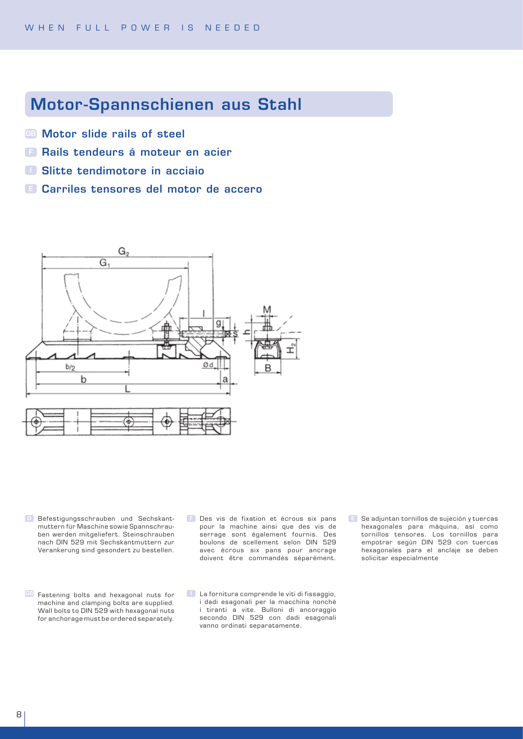#### Motor-Spannschienen aus Stahl

- **BB** Motor slide rails of steel
- **F Rails tendeurs á moteur en acier**
- Slitte tendimotore in acciaio
- Carriles tensores del motor de accero E



- **Befestigungsschrauben und Sechskant**muttern für Maschine sowie Spannschrauben werden mitgeliefert. Steinschrauben nach DIN 529 mit Sechskantmuttern zur Verankerung sind gesondert zu bestellen.
- **GB** Fastening bolts and hexagonal nuts for machine and clamping bolts are supplied. Wall bolts to DIN 529 with hexagonal nuts for anchorage must be ordered separately.
- **E** Des vis de fixation et écrous six pans pour la machine ainsi que des vis de serrage sont également fournis. Des boulons de scellement selon DIN 529 avec écrous six pans pour ancrage doivent être commandés séparément. F Des vis de fixation et écrous six pans E Se adjuntan tornillos de sujeción y tuercas
- $\Box$  La fornitura comprende le viti di fissaggio, i dadi esagonali per la macchina nonché i tiranti a vite. Bulloni di ancoraggio secondo DIN 529 con dadi esagonali vanno ordinati separatamente.
- hexagonales para máquina, así como tornillos tensores. Los tornillos para empotrar según DIN 529 con tuercas hexagonales para el anclaje se deben solicitar especialmente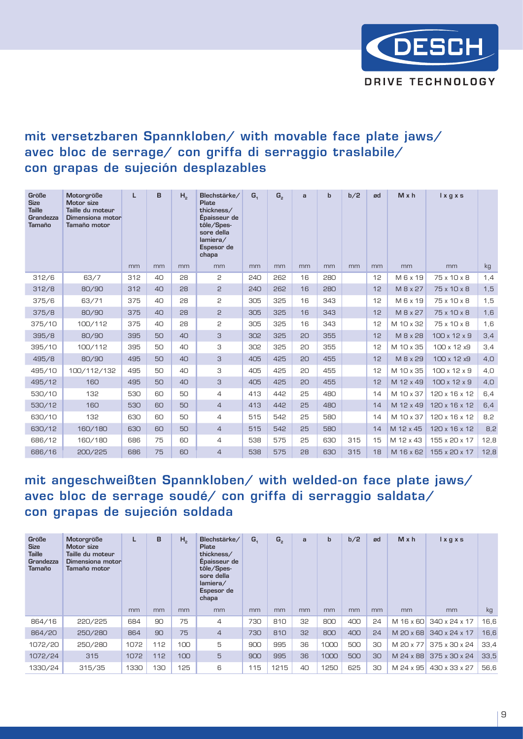

#### mit versetzbaren Spannkloben/ with movable face plate jaws/ avec bloc de serrage/ con griffa di serraggio traslabile/ con grapas de sujeción desplazables

| Größe<br><b>Size</b><br><b>Taille</b><br>Grandezza<br><b>Tamaño</b> | Motorgröße<br>Motor size<br>Taille du moteur<br>Dimensiona motor<br>Tamaño motor | L   | в  | H <sub>2</sub> | Blechstärke/<br>Plate<br>thickness/<br>Épaisseur de<br>tôle/Spes-<br>sore della<br>lamiera/<br>Espesor de<br>chapa | G <sub>1</sub> | G,  | a  | $\mathbf b$ | b/2 | ød | $M \times h$ | $l$ x g x s              |      |
|---------------------------------------------------------------------|----------------------------------------------------------------------------------|-----|----|----------------|--------------------------------------------------------------------------------------------------------------------|----------------|-----|----|-------------|-----|----|--------------|--------------------------|------|
|                                                                     |                                                                                  | mm  | mm | mm             | mm                                                                                                                 | mm             | mm  | mm | mm          | mm  | mm | mm           | mm                       | kg   |
| 312/6                                                               | 63/7                                                                             | 312 | 40 | 28             | 2                                                                                                                  | 240            | 262 | 16 | 280         |     | 12 | M 6 x 19     | 75 x 10 x 8              | 1,4  |
| 312/8                                                               | 80/90                                                                            | 312 | 40 | 28             | 2                                                                                                                  | 240            | 262 | 16 | 280         |     | 12 | M 8 x 27     | 75 x 10 x 8              | 1,5  |
| 375/6                                                               | 63/71                                                                            | 375 | 40 | 28             | 2                                                                                                                  | 305            | 325 | 16 | 343         |     | 12 | M 6 x 19     | 75 x 10 x 8              | 1,5  |
| 375/8                                                               | 80/90                                                                            | 375 | 40 | 28             | $\overline{c}$                                                                                                     | 305            | 325 | 16 | 343         |     | 12 | M 8 x 27     | 75 x 10 x 8              | 1,6  |
| 375/10                                                              | 100/112                                                                          | 375 | 40 | 28             | 2                                                                                                                  | 305            | 325 | 16 | 343         |     | 12 | M 10 x 32    | 75 x 10 x 8              | 1,6  |
| 395/8                                                               | 80/90                                                                            | 395 | 50 | 40             | 3                                                                                                                  | 302            | 325 | 20 | 355         |     | 12 | M 8 x 28     | 100 x 12 x 9             | 3,4  |
| 395/10                                                              | 100/112                                                                          | 395 | 50 | 40             | З                                                                                                                  | 302            | 325 | 20 | 355         |     | 12 | M 10 x 35    | 100 x 12 x9              | 3,4  |
| 495/8                                                               | 80/90                                                                            | 495 | 50 | 40             | 3                                                                                                                  | 405            | 425 | 20 | 455         |     | 12 | M 8 x 29     | 100 x 12 x9              | 4,0  |
| 495/10                                                              | 100/112/132                                                                      | 495 | 50 | 40             | 3                                                                                                                  | 405            | 425 | 20 | 455         |     | 12 | M 10 x 35    | 100 x 12 x 9             | 4,0  |
| 495/12                                                              | 160                                                                              | 495 | 50 | 40             | 3                                                                                                                  | 405            | 425 | 20 | 455         |     | 12 | M 12 x 49    | $100 \times 12 \times 9$ | 4,0  |
| 530/10                                                              | 132                                                                              | 530 | 60 | 50             | $\overline{4}$                                                                                                     | 413            | 442 | 25 | 480         |     | 14 | M 10 x 37    | 120 x 16 x 12            | 6,4  |
| 530/12                                                              | 160                                                                              | 530 | 60 | 50             | $\overline{4}$                                                                                                     | 413            | 442 | 25 | 480         |     | 14 | M 12 x 49    | 120 x 16 x 12            | 6,4  |
| 630/10                                                              | 132                                                                              | 630 | 60 | 50             | 4                                                                                                                  | 515            | 542 | 25 | 580         |     | 14 | M 10 x 37    | 120 x 16 x 12            | 8,2  |
| 630/12                                                              | 160/180                                                                          | 630 | 60 | 50             | $\overline{4}$                                                                                                     | 515            | 542 | 25 | 580         |     | 14 | M 12 x 45    | 120 x 16 x 12            | 8,2  |
| 686/12                                                              | 160/180                                                                          | 686 | 75 | 60             | $\overline{4}$                                                                                                     | 538            | 575 | 25 | 630         | 315 | 15 | M 12 x 43    | 155 x 20 x 17            | 12,8 |
| 686/16                                                              | 200/225                                                                          | 686 | 75 | 60             | $\overline{4}$                                                                                                     | 538            | 575 | 28 | 630         | 315 | 18 | M 16 x 62    | 155 x 20 x 17            | 12,8 |

#### mit angeschweißten Spannkloben/ with welded-on face plate jaws/ avec bloc de serrage soudé/ con griffa di serraggio saldata/ con grapas de sujeción soldada

| Größe<br><b>Size</b><br><b>Taille</b><br>Grandezza<br>Tamaño | Motorgröße<br>Motor size<br>Taille du moteur<br>Dimensiona motor<br>Tamaño motor |      | B              | Η,  | Blechstärke/<br>Plate<br>thickness/<br>Épaisseur de<br>tôle/Spes-<br>sore della<br>lamiera/<br>Espesor de<br>chapa | G <sub>1</sub> | G <sub>2</sub> | a  | b    | b/2 | ød | M x h     | $l$ x g x s   |      |
|--------------------------------------------------------------|----------------------------------------------------------------------------------|------|----------------|-----|--------------------------------------------------------------------------------------------------------------------|----------------|----------------|----|------|-----|----|-----------|---------------|------|
|                                                              |                                                                                  | mm   | m <sub>m</sub> | mm  | mm                                                                                                                 | mm             | mm             | mm | mm   | mm  | mm | mm        | mm            | kg   |
| 864/16                                                       | 220/225                                                                          | 684  | 90             | 75  | $\overline{4}$                                                                                                     | 730            | 810            | 32 | 800  | 400 | 24 | M 16 x 60 | 340 x 24 x 17 | 16,6 |
| 864/20                                                       | 250/280                                                                          | 864  | 90             | 75  | $\overline{4}$                                                                                                     | 730            | 810            | 32 | 800  | 400 | 24 | M 20 x 68 | 340 x 24 x 17 | 16,6 |
| 1072/20                                                      | 250/280                                                                          | 1072 | 112            | 100 | 5                                                                                                                  | 900            | 995            | 36 | 1000 | 500 | 30 | M 20 x 77 | 375 x 30 x 24 | 33,4 |
| 1072/24                                                      | 315                                                                              | 1072 | 112            | 100 | 5                                                                                                                  | 900            | 995            | 36 | 1000 | 500 | 30 | M 24 x 88 | 375 x 30 x 24 | 33,5 |
| 1330/24                                                      | 315/35                                                                           | 1330 | 130            | 125 | 6                                                                                                                  | 115            | 1215           | 40 | 1250 | 625 | 30 | M 24 x 95 | 430 x 33 x 27 | 56,6 |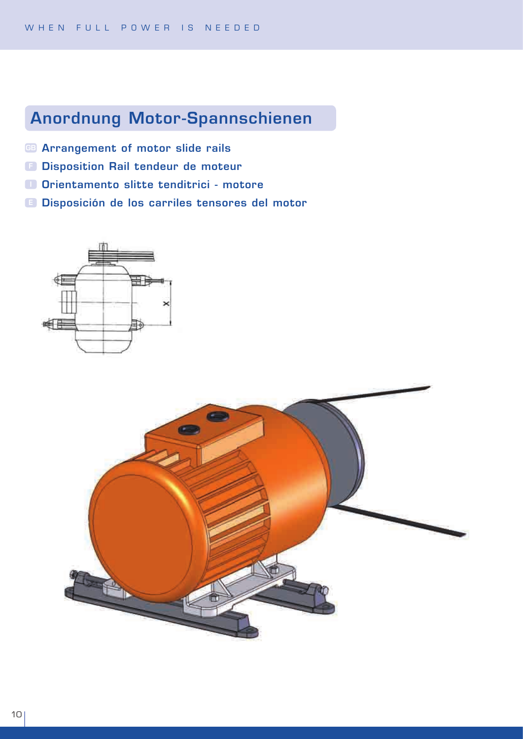# Anordnung Motor-Spannschienen

- **B Arrangement of motor slide rails**
- **B** Disposition Rail tendeur de moteur
- O Orientamento slitte tenditrici motore
- **E Disposición de los carriles tensores del motor**